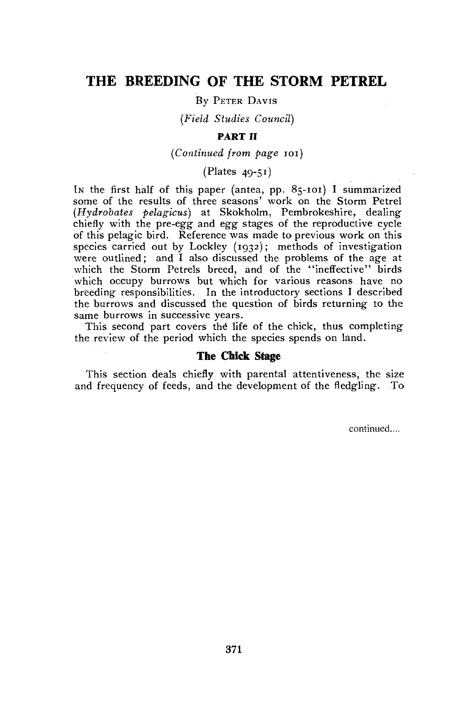# THE BREEDING OF THE STORM PETREL

By PETER DAVIS

*(Field Studies Council)* 

# **PART II**

*(Continued from page* 101)

(Plates 49-51)

IN the first half of this paper (antea, pp. 85-101) I summarized some of the results of three seasons' work on the Storm Petrel *(Hydrobates pelagicus)* at Skokholm, Pembrokeshire, dealing chiefly with the pre-egg and egg stages of the reproductive cycle of this pelagic bird. Reference was made to previous work on this species carried out by Lockley (1932); methods of investigation were outlined; and I also discussed the problems of the age at which the Storm Petrels breed, and of the "ineffective" birds which occupy burrows but which for various reasons have no breeding responsibilities. In the introductory sections I described the burrows and discussed the question of birds returning to the same burrows in successive years.

This second part covers the life of the chick, thus completing the review of the period which the species spends on land.

# **The Chick Stage**

This section deals chiefly with parental attentiveness, the size and frequency of feeds, and the development of the fledgling. To

continued....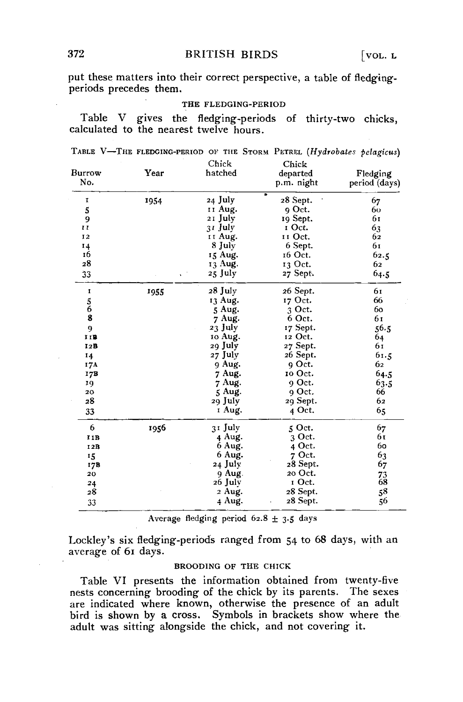put these matters into their correct perspective, a table of fledgingperiods precedes them.

### THE FLEDG1NG-PERIOD

Table V gives the fledging-periods of thirty-two chicks, calculated to the nearest twelve hours.

|  | TABLE V-THE FLEDGING-PERIOD OF THE STORM PETREL (Hydrobates pelagicus) |                |  |  |  |
|--|------------------------------------------------------------------------|----------------|--|--|--|
|  |                                                                        | $\sim \cdot$ . |  |  |  |

| Burrow<br>No. | Year | Chick<br>hatched | Chick<br>departed<br>p.m. night | Fledging<br>period (days) |
|---------------|------|------------------|---------------------------------|---------------------------|
| ĭ             | 1954 | 24 July          | 28 Sept.                        | 67                        |
| 5             |      | 11 Aug.          | 9 Oct.                          | 60                        |
| 9             |      | 21 July          | 19 Sept.                        | 61                        |
| $\mathbf{r}$  |      | 31 July          | I Oct.                          | 63                        |
| 12            |      | II Aug.          | II Oct.                         | 62                        |
| 14            |      | 8 July           | 6 Sept.                         | 61                        |
| 16            |      | 15 Aug.          | 16 Oct.                         | 62.5                      |
| 28            |      | 13 Aug.          | 13 Oct.                         | 62                        |
| 33            |      | 25 July          | 27 Sept.                        | 64.5                      |
| 1             | 1955 | 28 July          | 26 Sept.                        | 61                        |
|               |      | 13 Aug.          | 17 Oct.                         | 66                        |
| $\frac{5}{6}$ |      | 5 Aug.           | 3 Oct.                          | 60                        |
|               |      | 7 Aug.           | 6 Oct.                          | 61                        |
| 9             |      | 23 July          | 17 Sept.                        | 56.5                      |
| III           |      | 10 Aug.          | 12 Oct.                         | 64                        |
| 12B           |      | 29 July          | 27 Sept.                        | 61                        |
| 14            |      | 27 July          | 26 Sept.                        | 61.5                      |
| 17A           |      | 9 Aug.           | 9 Oct.                          | 62                        |
| 17B           |      | 7 Aug.           | 10 Oct.                         | 64.5                      |
| 19            |      | 7 Aug.           | 9 Oct.                          | 63.5                      |
| 20            |      | 5 Aug.           | o Oct.                          | 66                        |
| 28            |      | 29 July          | 29 Sept.                        | 62                        |
| 33            |      | I Aug.           | 4 Oct.                          | 65                        |
| 6             | 1956 | 31 July          | 5 Oct.                          | 67                        |
| IIB           |      | 4 Aug.           | 3 Oct.                          | 61                        |
| 12B           |      | 6 Aug.           | 4 Oct.                          | 60                        |
| 15            |      | 6 Aug.           | 7 Oct.                          | 63                        |
| 17B           |      | 24 July          | 28 Sept.                        | 67                        |
| 20            |      | 9 Aug.           | 20 Oct.                         |                           |
| 24            |      | 26 July          | I Oct.                          | $^{73}_{68}$              |
| 28            |      | 2 Aug.           | 28 Sept.                        | 58                        |
| 33            |      | 4 Aug.           | 28 Sept.                        | 56                        |

Average fledging period 62.8 ± 3.5 days

Lockley's six fledging-periods ranged from 54 to 68 days, with an average of 61 days.

# BROODING OF THE CHICK

Table VI presents the information obtained from twenty-five nests concerning brooding of the chick by its parents. The sexes are indicated where known, otherwise the presence of an adult bird is shown by a cross. Symbols in brackets show where the adult was sitting alongside the chick, and not covering it.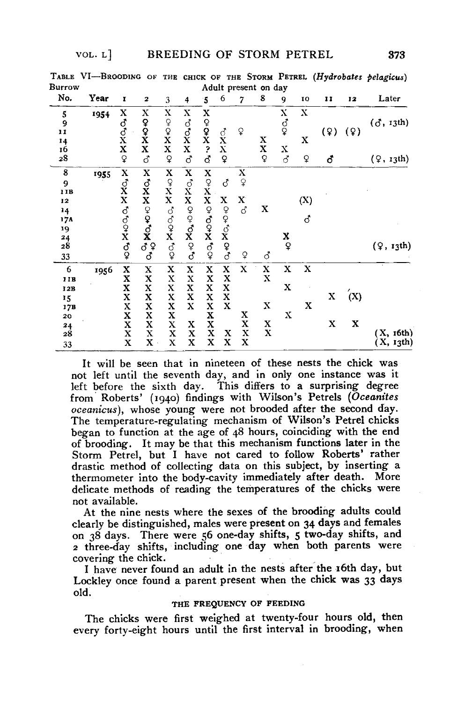| Burrow                                                          | TABLE VI-BROODING OF |                                                                                                       |                                                                   |                                                               |                                                                                                            |                                                                                               |                                                    |                                    | Adult present on day                                                                      |                          |                  |        |          | THE CHICK OF THE STORM PETREL (Hydrobates pelagicus) |
|-----------------------------------------------------------------|----------------------|-------------------------------------------------------------------------------------------------------|-------------------------------------------------------------------|---------------------------------------------------------------|------------------------------------------------------------------------------------------------------------|-----------------------------------------------------------------------------------------------|----------------------------------------------------|------------------------------------|-------------------------------------------------------------------------------------------|--------------------------|------------------|--------|----------|------------------------------------------------------|
| No.                                                             | Year                 | r                                                                                                     | 2                                                                 | 3                                                             | 4                                                                                                          | 5                                                                                             | 6                                                  | 7                                  | 8                                                                                         | 9                        | 10               | 11     | 12       | Later                                                |
| 5<br>9<br>Ħ                                                     | 1954                 | X ♂ ぴ ぴ X X                                                                                           | х<br>$2x$<br>$X$                                                  | X<br>$200$<br>$X$<br>$X$                                      | x<br>$\mathop{\mathrm{S}}\limits^{\mathop{\mathrm{S}}}_{\mathop{\mathrm{X}}\limits^{\mathop{\mathrm{S}}}}$ | X<br><b>O'O'NO'O</b>                                                                          | $\vec{C}$<br>$\frac{\bar{\mathbf{x}}}{\mathbf{x}}$ | $\mathsf{P}$                       | x                                                                                         | x<br>$\vec{\mathrm{Q}}$  | x<br>X           | (9)    | (9)      | (3, 13th)                                            |
| 14<br>16<br>28                                                  |                      | $\mathsf{Q}$                                                                                          | ර                                                                 | $\mathsf{Q}$                                                  | <b>ි</b>                                                                                                   |                                                                                               | $\mathsf{Q}$                                       |                                    | X<br>Q                                                                                    | X<br>$\vec{\mathcal{S}}$ | Ç                | δ      |          | $(2, x_3$ th)                                        |
| 8<br>9<br>11B<br>12<br>14<br>17A<br>19<br>$\frac{24}{28}$<br>33 | 1955                 | <b>X ♂X X ♂% X ♂</b>                                                                                  | X<br>$\stackrel{d}{\bf x}$<br>X<br>$\sigma_{10}^{O_1}$ X $O_1$ 40 | $\frac{\mathbf{X}}{\mathbf{X}}$<br>$\mathbf x$<br>cocked      | X<br>SXXQQXQXQXQ                                                                                           | <b>X OX X OX X OX</b>                                                                         | ₫<br>x<br>0,00000                                  | X<br>$\overline{Q}$<br>X<br>්<br>Q | $\mathbf x$<br>්                                                                          | X<br>$\mathsf{\Omega}$   | (X)<br>්         |        |          | $($ $\varphi$ , $r_3$ th)                            |
| 6<br>11B<br>12B<br>15<br>17В<br>20<br>24<br>28<br>33            | 1956                 | X<br>X<br>X<br>X<br>$\frac{\mathbf{X}}{\mathbf{X}}$<br>$\bar{\mathrm{x}}$ $\mathrm{x}$<br>$\mathbf x$ | X<br>X<br>X<br>X<br>X<br>X<br>X<br>X<br>$\mathbf X$               | x<br>X<br>X<br>$\mathbf x$<br>X<br>X<br>X<br>$\mathbf x$<br>X | X<br>X<br>X<br>$\mathbf x$<br>$\mathbf x$<br>x<br>X<br>X                                                   | x<br>$\mathbf x$<br>X<br>X<br>X<br>$\bar{\mathbf{x}}$<br>$\frac{\mathbf{X}}{\mathbf{X}}$<br>X | x<br>X<br>X<br>X<br>$\mathbf x$<br>x<br>X          | X<br>x<br>X<br>X<br>X              | X<br>$\mathbf x$<br>$\mathbf x$<br>$\boldsymbol{\mathrm{x}}$<br>$\boldsymbol{\mathrm{x}}$ | X<br>X<br>X              | $\mathbf X$<br>X | X<br>X | (X)<br>x | X, t6th<br>$X$ , $13th$ )                            |

It will be seen that in nineteen of these nests the chick was not left until the seventh day, and in only one instance was it left before the sixth day. This differs to a surprising degree from Roberts' (1940) findings with Wilson's Petrels *(Oceanites oceanicus),* whose young were not brooded after the second day. The temperature-regulating mechanism of Wilson's Petrel chicks began to function at the age of 48 hours, coinciding with the end of brooding. It may be that this mechanism functions later in the Storm Petrel, but I have not cared to follow Roberts' rather drastic method of collecting data on this subject, by inserting a thermometer into the body-cavity immediately after death. More delicate methods of reading the temperatures of the chicks were not available.

At the nine nests where the sexes of the brooding adults could clearly be distinguished, males were present on 34 days and females on 38 days. There were 56 one-day shifts, 5 two-day shifts, and 2 three-day shifts, including one day when both parents were covering the chick.

I have never found an adult in the nests after the 16th day, but Lockley once found a parent present when the chick was 33 days old.

### THE FREQUENCY OF FEEDING

The chicks were first weighed at twenty-four hours old, then every forty-eight hours until the first interval in brooding, when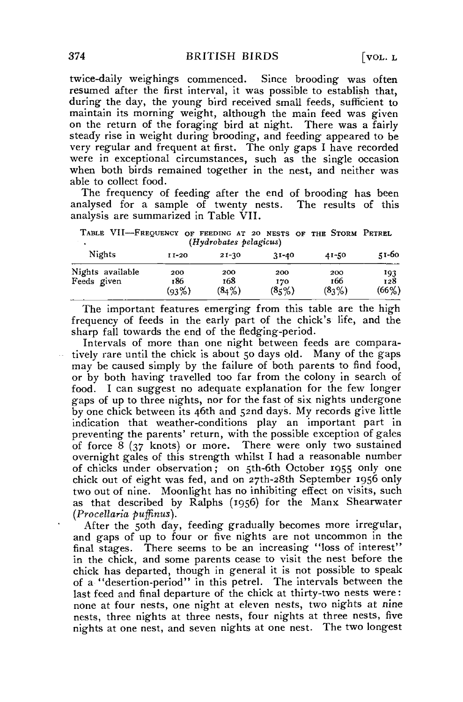twice-daily weighings commenced. Since brooding was often resumed after the first interval, it was possible to establish that, during the day, the young bird received small feeds, sufficient to maintain its morning weight, although the main feed was given on the return of the foraging bird at night. There was a fairly steady rise in weight during brooding, and feeding appeared to be very regular and frequent at first. The only gaps I have recorded were in exceptional circumstances, such as the single occasion when both birds remained together in the nest, and neither was able to collect food.

The frequency of feeding after the end of brooding has been analysed for a sample of twenty nests. The results of this analysis are summarized in Table VII.

TABLE VII—FREQUENCY OF FEEDING AT 20 NESTS OF THE STORM PETREL *(Hydrobates pelagicus)* 

| Nights                          | $11-20$             | $21-30$             | $31 - 40$            | 41-50               | 51-60               |
|---------------------------------|---------------------|---------------------|----------------------|---------------------|---------------------|
| Nights available<br>Feeds given | 200<br>186<br>(93%) | 200<br>168<br>(84%) | 200<br>170<br>(8, 0) | 200<br>166<br>(83%) | 193<br>128<br>(66%) |

The important features emerging from this table are the high frequency of feeds in the early part of the chick's life, and the sharp fall towards the end of the fledging-period.

Intervals of more than one night between feeds are comparatively rare until the chick is about 50 days old. Many of the gaps may be caused simply by the failure of both parents to find food, or by both having travelled too far from the colony in search of food. I can suggest no adequate explanation for the few longer gaps of up to three nights, nor for the fast of six nights undergone by one chick between its 46th and 52nd days. My records give little indication that weather-conditions play an important part in preventing the parents' return, with the possible exception of gales of force 8 (37 knots) or more. There were only two sustained overnight gales of this strength whilst I had a reasonable number of chicks under observation; on 5th-6th October 1955 only one chick out of eight was fed, and on 27th-28th September 1956 only two out of nine. Moonlight has no inhibiting effect on visits, such as that described by Ralphs (1956) for the Manx Shearwater *(Procellaria puffinus).* 

After the 50th day, feeding gradually becomes more irregular, and gaps of up to four or five nights are not uncommon in the final stages. There seems to be an increasing "loss of interest" in the chick, and some parents cease to visit the nest before the chick has departed, though in general it is not possible to speak of a "desertion-period" in this petrel. The intervals between the last feed and final departure of the chick at thirty-two nests were : none at four nests, one night at eleven nests, two nights at nine nests, three nights at three nests, four nights at three nests, five nights at one nest, and seven nights at one nest. The two longest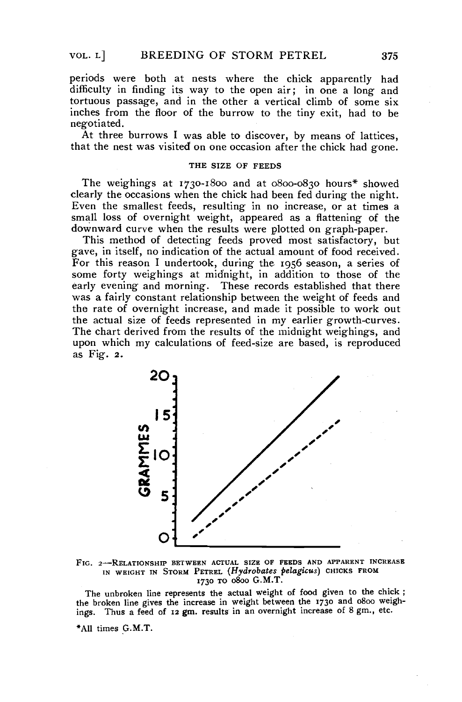periods were both at nests where the chick apparently had difficulty in finding its way to the open air; in one a long and tortuous passage, and in the other a vertical climb of some six inches from the floor of the burrow to the tiny exit, had to be negotiated.

At three burrows I was able to discover, by means of lattices, that the nest was visited on one occasion after the chick had gone.

### THE SIZE OF FEEDS

The weighings at 1730-1800 and at 0800-0830 hours\* showed clearly the occasions when the chick had been fed during the night. Even the smallest feeds, resulting in no increase, or at times a small loss of overnight weight, appeared as a flattening of the downward curve when the results were plotted on graph-paper.

This method of detecting feeds proved most satisfactory, but gave, in itself, no indication of the actual amount of food received. For this reason I undertook, during the 1956 season, a series of some forty weighings at midnight, in addition to those of the early evening and morning. These records established that there was a fairly constant relationship between the weight of feeds and the rate of overnight increase, and made it possible to work out the actual size of feeds represented in my earlier growth-curves. The chart derived from the results of the midnight weighings, and upon which my calculations of feed-size are based, is reproduced as Fig. 2.



FIG. 2-RELATIONSHIP BETWEEN ACTUAL SIZE OF FEEDS AND APPARENT INCREASE IN WEIGHT IN STORM PETREL (Hydrobates pelagicus) CHICKS FROM 1730 TO 0800 G.M.T.

The unbroken line represents the actual weight of food given to the chick ; the broken line gives the increase in weight between the 1730 and 0800 weighings. Thus a feed of 12 gm. results in an overnight increase of 8 gm., etc.

\*AU times G.M.T.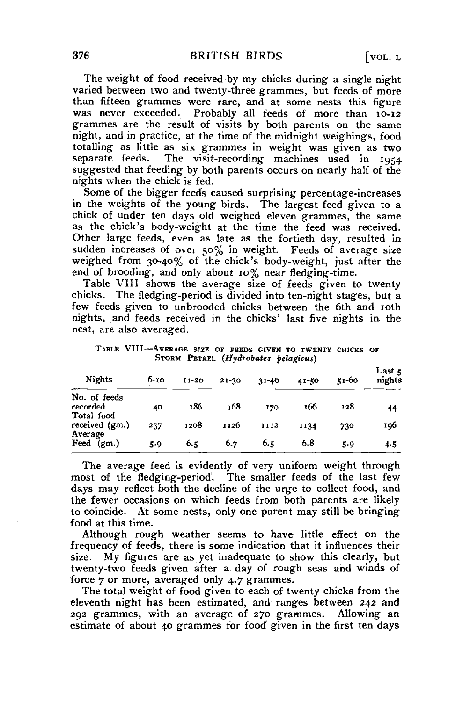The weight of food received by my chicks during a single night varied between two and twenty-three grammes, but feeds of more than fifteen grammes were rare, and at some nests this figure<br>was never exceeded. Probably all feeds of more than 10-12 Probably all feeds of more than 10-12 grammes are the result of visits by both parents on the same night, and in practice, at the time of the midnight weighings, food totalling as little as six grammes in weight was given as two The visit-recording machines used in 1954 suggested that feeding by both parents occurs on nearly half of the nights when the chick is fed.

Some of the bigger feeds caused surprising percentage-increases in the weights of the young birds. The largest feed given to a chick of under ten days old weighed eleven grammes, the same as the chick's body-weight at the time the feed was received. Other large feeds, even as late as the fortieth day, resulted in sudden increases of over 50% in weight. Feeds of average size weighed from 30-40% of the chick's body-weight, just after the end of brooding, and only about 10% near fledging-time.

Table VIII shows the average size of feeds given to twenty chicks. The fledging-period is divided into ten-night stages, but a few feeds given to unbrooded chicks between the 6th and 10th nights, and feeds received in the chicks' last five nights in the nest, are also averaged.

TABLE VIII—AVERAGB SIZE OF FEEDS GIVEN TO TWENTY CHICKS OF STORM PETREL *(Hydrobates pelagicus)* 

| <b>Nights</b>                | $6 - 10$ | $11 - 20$ | $21 - 30$ | $31 - 40$ | 41-50 | 51-60 | Last $\zeta$<br>nights |
|------------------------------|----------|-----------|-----------|-----------|-------|-------|------------------------|
| No. of feeds<br>recorded     | 40       | 186       | 168       | 170       | 166   | 128   | 44                     |
| Total food<br>received (gm.) | 237      | 1208      | 1126      | 1112      | 1134  | 730   | 196                    |
| Average<br>Feed<br>(gm.)     | 5.9      | 6.5       | 6.7       | 6.5       | 6.8   | 5.9   | 4.5                    |

The average feed is evidently of very uniform weight through most of the fledging-period. The smaller feeds of the last few days may reflect both the decline of the urge to collect food, and the fewer occasions on which feeds from both parents are likely to coincide. At some nests, only one parent may still be bringing food at this time.

Although rough weather seems to have little effect on the frequency of feeds, there is some indication that it influences their size. My figures are as yet inadequate to show this clearly, but twenty-two feeds given after a day of rough seas and winds of force 7 or more, averaged only 4.7 grammes.

The total weight of food given to each of twenty chicks from the eleventh night has been estimated, and ranges between 242 and 292 grammes, with an average of 270 grammes. Allowing an estimate of about 40 grammes for food given in the first ten days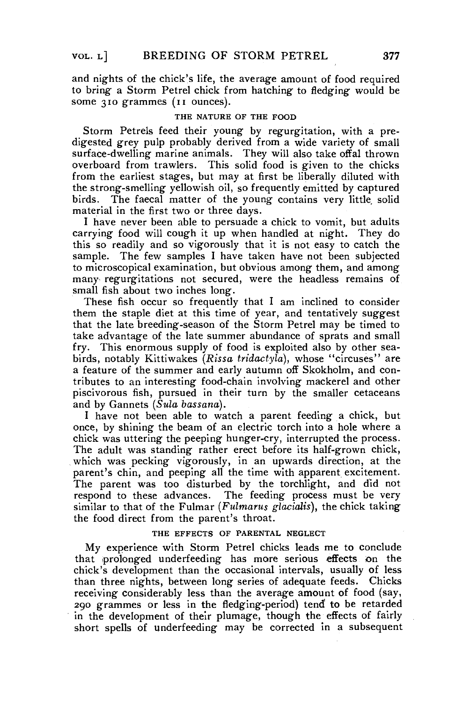and nights of the chick's life, the average amount of food required to bring a Storm Petrel chick from hatching to fledging would be some 310 grammes (11 ounces).

## THE NATURE OF THE FOOD

Storm Petrels feed their young by regurgitation, with a predigested grey pulp probably derived from a wide variety of small surface-dwelling marine animals. They will also take offal thrown overboard from trawlers. This solid food is given to the chicks from the earliest stages, but may at first be liberally diluted with the strong-smelling yellowish oil, so frequently emitted by captured birds. The faecal matter of the young contains very little solid material in the first two or three days.

I have never been able to persuade a chick to vomit, but adults carrying food will cough it up when handled at night. They do this so readily and so vigorously that it is not easy to catch the sample. The few samples I have taken have not been subjected to microscopical examination, but obvious among them, and among many regurgitations not secured, were the headless remains of small fish about two inches long.

These fish occur so frequently that I am inclined to consider them the staple diet at this time of year, and tentatively suggest that the late breeding-season of the Storm Petrel may be timed to take advantage of the late summer abundance of sprats and small fry. This enormous supply of food is exploited also by other seabirds, notably Kittiwakes *(Rissa tridactyla),* whose "circuses" are a feature of the summer and early autumn off Skokholm, and contributes to an interesting food-chain involving mackerel and other piscivorous fish, pursued in their turn by the smaller cetaceans and by Gannets *(Sula bassana).* 

I have not been able to watch a parent feeding a chick, but once, by shining the beam of an electric torch into a hole where a chick was uttering the peeping hunger-cry, interrupted the process. The adult was standing rather erect before its half-grown chick, which was pecking vigorously, in an upwards direction, at the parent's chin, and peeping all the time with apparent excitement. The parent was too disturbed by the torchlight, and did not respond to these advances. The feeding process must be very similar to that of the Fulmar (Fulmarus glacialis), the chick taking the food direct from the parent's throat.

#### THE EFFECTS OF PARENTAL NEGLECT

My experience with Storm Petrel chicks leads me to conclude that prolonged underfeeding has mare serious effects on the chick's development than the occasional intervals, usually of less than three nights, between long series of adequate feeds. Chicks receiving considerably less than the average amount of food (say, 290 grammes or less in the fledging-period) tend<sup>1</sup> to be retarded in the development of their plumage, though the effects of fairly short spells of underfeeding may be corrected in a subsequent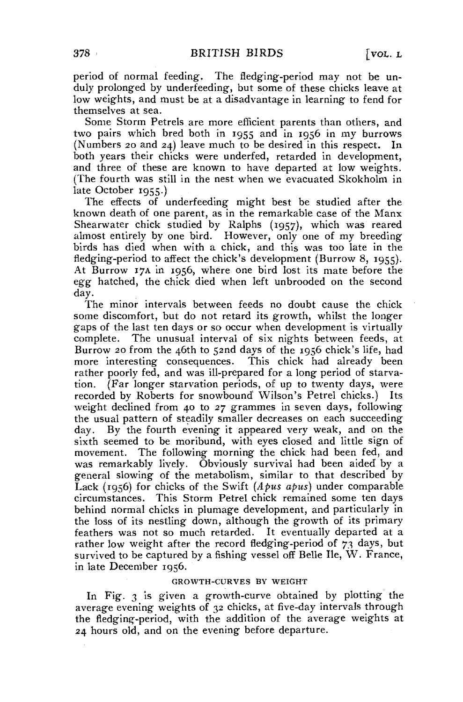period of normal feeding. The fledging-period may not be unduly prolonged by underfeeding, but some of these chicks leave at low weights, and must be at a disadvantage in learning to fend for themselves at sea.

Some Storm Petrels are more efficient parents than others, and two pairs which bred both in 1955 and in 1956 in my burrows (Numbers 20 and 24) leave much to be desired in this respect. In both years their chicks were underfed, retarded in development, and three of these are known to have departed at low weights. (The fourth was still in the nest when we evacuated Skokholm in late October 1955.)

The effects of underfeeding might best be studied after the known death of one parent, as in the remarkable case of the Manx Shearwater chick studied by Ralphs (1957), which was reared almost entirely by one bird. However, only one of my breeding birds has died when with a chick, and this was too late in the fledging-period to affect the chick's development (Burrow 8, 1955). At Burrow 17A in 1956, where one bird lost its mate before the *egg* hatched, the chick died when left unbrooded on the second day.

The minor intervals between feeds no doubt cause the chick some discomfort, but do not retard its growth, whilst the longer gaps of the last ten days or so occur when development is virtually complete. The unusual interval of six nights between feeds, at Burrow 20 from the 46th to 52nd days of the 1956 chick's life, had more interesting consequences. This chick had already been rather poorly fed, and was ill-prepared for a long period of starvation. (Far longer starvation periods, of up to twenty days, were recorded by Roberts for snowbound' Wilson's Petrel chicks.) Its weight declined from 40 to 27 grammes in seven days, following the usual pattern of steadily smaller decreases on each succeeding day. By the fourth evening it appeared very weak, and on the sixth seemed to be moribund, with eyes closed and little sign of movement. The following morning the chick had been fed, and was remarkably lively. Obviously survival had been aided by a general slowing of the metabolism, similar to that described by Lack (1956) for chicks of the Swift *(Apus apus)* under comparable circumstances. This Storm Petrel chick remained some ten days behind normal chicks in plumage development, and particularly in the loss of its nestling down, although the growth of its primary feathers was not so much retarded. It eventually departed at a rather low weight after the record fledging-period of 73 days, but survived to be captured by a fishing vessel off Belle Ile, W. France, in late December 1956.

# GROWTH-CURVES BY WEIGHT

In Fig. 3 is given a growth-curve obtained by plotting the average evening weights of 32 chicks, at five-day intervals through the fledging-period, with the addition of the average weights at 24 hours old, and on the evening before departure.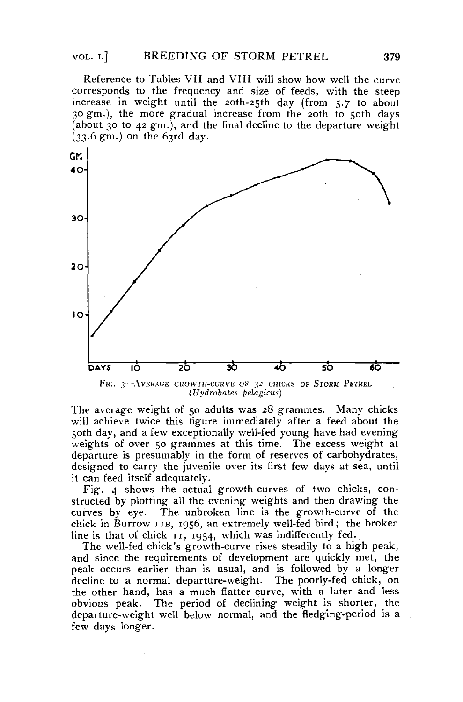Reference to Tables VII and VIII will show how well the curve corresponds to the frequency and size of feeds, with the steep increase in weight until the 20th-25th day (from 5.7 to about 30 *gm.),* the more gradual increase from the 20th to 50th days (about 30 to 42 gm.), and the final decline to the departure weight  $(33.6 \text{ gm.})$  on the 63rd day.



The average weight of 50 adults was 28 grammes. Many chicks will achieve twice this figure immediately after a feed about the 50th day, and a few exceptionally well-fed young have had evening weights of over 50 grammes at this time. The excess weight at departure is presumably in the form of reserves of carbohydrates, designed to carry the juvenile over its first few days at sea, until it can feed itself adequately.

Fig. 4 shows the actual growth-curves of two chicks, constructed by plotting all the evening weights and then drawing the curves by eye. The unbroken line is the growth-curve of the chick in Burrow IIB, 1956, an extremely well-fed bird; the broken line is that of chick 11, 1954, which was indifferently fed.

The well-fed chick's growth-curve rises steadily to a high peak, and since the requirements of development are quickly met, the peak occurs earlier than is usual, and is followed by a longer decline to a normal departure-weight. The poorly-fed chick, on the other hand, has a much flatter curve, with a later and less obvious peak. The period of declining weight is shorter, the departure-weight well below normal, and the fledging-period is a few days longer.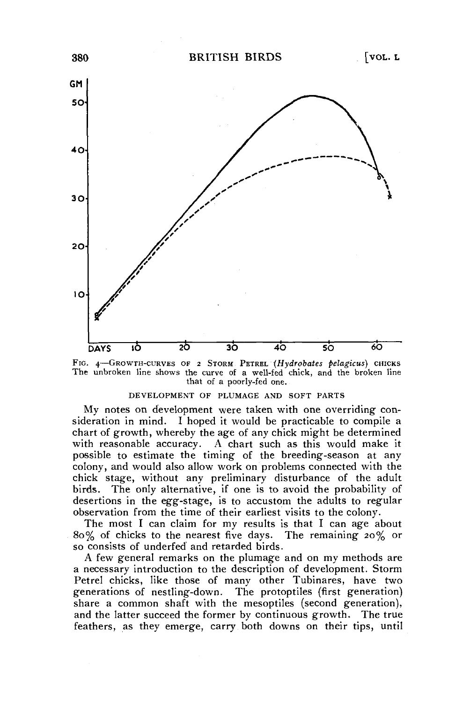

FIG. 4—GROWTH-CURVES OF 2 STORM PETREL *(Hydrobates pelagicus)* CHICKS The unbroken line shows the curve of a well-fed chick, and the broken line that of a poorly-fed one.

#### DEVELOPMENT OF PLUMAGE AND SOFT PARTS

My notes on development were taken with one overriding consideration in mind. I hoped it would be practicable to compile a chart of growth, whereby the age of any chick might be determined with reasonable accuracy. A chart such as this would make it possible to estimate the timing of the breeding-season at any colony, and would also allow work on problems connected with the chick stage, without any preliminary disturbance of the adult birds. The only alternative, if one is to avoid the probability of desertions in the egg-stage, is to accustom the adults to regular observation from the time of their earliest visits to the colony.

The most I can claim for my results is that I can age about 80% of chicks to the nearest five days. The remaining 20% or so consists of underfed and retarded birds.

A few general remarks on the plumage and on my methods are a necessary introduction to the description of development. Storm Petrel chicks, like those of many other Tubinares, have two generations of nestling-down. The protoptiles (first generation) share a common shaft with the mesoptiles (second generation), and the latter succeed the former by continuous growth. The true feathers, as they emerge, carry both downs on their tips, until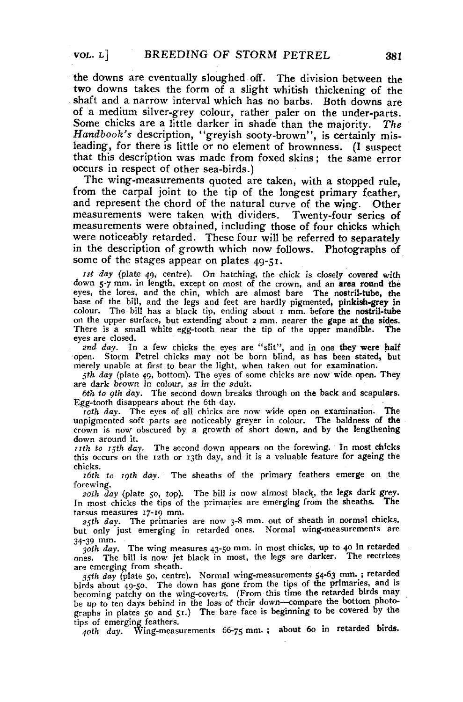the downs are eventually sloughed off. The division between the two downs takes the form of a slight whitish thickening of the shaft and a narrow interval which has no barbs. Both downs are of a medium silver-grey colour, rather paler on the under-parts. Some chicks are a little darker in shade than the majority. *The Handbook's* description, "greyish sooty-brown", is certainly misleading, for there is little or no element of brownness. (I suspect that this description was made from foxed skins; the same error occurs in respect of other sea-birds.)

The wing-measurements quoted are taken, with a stopped rule, from the carpal joint to the tip of the longest primary feather, and represent the chord of the natural curve of the wing. Other measurements were taken with dividers. Twenty-four series of measurements were obtained, including those of four chicks which were noticeably retarded. These four will be referred to separately in the description of growth which now follows. Photographs of some of the stages appear on plates 49-51.

*1st day* (plate 49, centre). On hatching, the chick is closely covered with down 5-7 mm. in length, except on most of the crown, and an **area round the**  eyes, the lores, and the chin, which are almost bare The **nostril-tube, the**  base of the bill, and the legs and feet are hardly pigmented, **pinkish-grey in**  colour. The bill has a black tip, ending about 1 mm. before **the nostril-tube**  on the upper surface, but extending about 2 mm. nearer the gape **at the sides.**  There is a small white egg-tooth near the tip of the upper **mandible. The**  eyes are closed.

*2nd day.* In a few chicks the eyes are "slit", and in one **they were** half open. Storm Petrel chicks may not be born blind, as has been **stated, but**  merely unable at first to bear the light, when taken out for **examination.** 

*\$lh day* (plate 49, bottom). The eyes of some chicks are now wide open. They are dark brown in colour, as in the adult.

*6th to gth day.* The second down breaks through on the back and scapulars. Egg-tooth disappears about the 6th day.

*10th day.* The eyes of all chicks are now wide open on examination. The unpigmented soft parts are noticeably greyer in colour. The baldness of **the**  crown is now obscured by a growth of short down, and by **the** lengthening down around it.

*nth to 15th day.* The second down appears on the forewing. In most chicks this occurs on the 12th or 13th day, and it is a valuable feature for ageing the chicks.

*16th to igth day.* The sheaths of the primary feathers emerge on the forewing.

*20th day* (plate 50, top). The bill is now almost black, the legs dark grey.<br>I most chicks the tips of the primaries are emerging from the sheaths. The In most chicks the tips of the primaries are emerging from the sheaths. tarsus measures 17-19 mm.

*25th day.* The primaries are now 3-8 mm. out of sheath in normal chicks, but only just emerging in retarded ones. Normal wing-measurements are 34-39 mm.

*30th day.* The wing measures 43-50 mm. in most chicks, up to 40 in retarded ones. The bill is now jet black in most, the legs are darker. The rectrices are emerging from sheath.

*1\$th day* (plate 50, centre). Normal wing-measurements 54-63 ma ; retarded birds about 49-50. The down has gone from the tips of the primaries, and is becoming patchy on the wing-coverts. (From this time the retarded birds may be up to ten days behind in the loss of their down—compare the bottom photographs in plates 50 and 51.) The bare face is beginning to be covered by the tips of emerging feathers.

40th day. Wing-measurements 66-75 mm.; about 60 in retarded birds.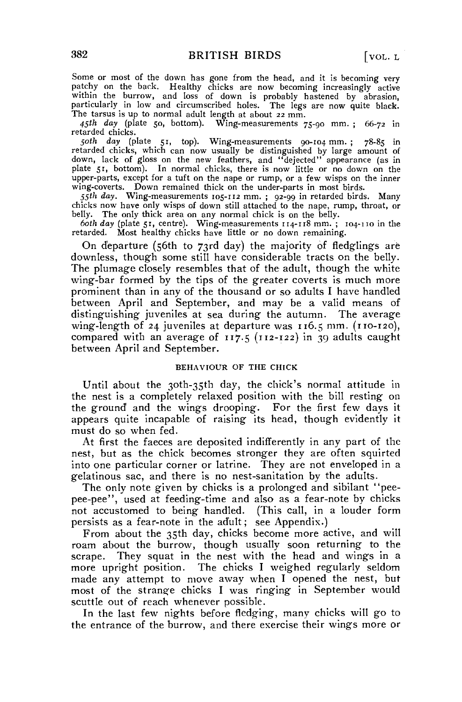Some or most of the down has gone from the head, and it is becoming very patchy on the back. Healthy chicks are now becoming increasingly active within the burrow, and loss of down is probably hastened by abrasion, particularly in low and circumscribed holes. The legs are now quite black. The tarsus is up to normal adult length at about 22 mm.

*45th day* (plate 50, bottom). Wing-measurements 75-90 mm. ; 66-72 in retarded chicks.

*50th day* (plate 51, top). Wing-measurements 90-104 mm. ; 78-85 in retarded chicks, which can now usually be distinguished by large amount of down, lack of gloss on the new feathers, and "dejected" appearance (as in plate 51, bottom). In normal chicks, there is now little or no down on the upper-parts, except for a tuft on the nape or rump, or a few wisps on the inner wing-coverts. Down remained thick on the under-parts in most birds.

*55th day.* Wing-measurements 105-112 mm. ; 92-99 in retarded birds. Many chicks now have only wisps of down still attached to the nape, rump, throat, or belly. The only thick area on any normal chick is on the belly.

*both day* (plate 51, centre). Wing-measurements 114-118 mm. ; 104-110 in the retarded. Most healthy chicks have little or no down remaining.

On departure (56th to 73rd day) the majority of fledglings are downless, though some still have considerable tracts on the belly. The plumage closely resembles that of the adult, though the white wing-bar formed by the tips of the greater coverts is much more prominent than in any of the thousand or so adults I have handled between April and September, and may be a valid means of distinguishing juveniles at sea during the autumn. The average wing-length of 24 juveniles at departure was 116.5 mm. (110-120), compared with an average of  $117.5$  ( $112-122$ ) in 39 adults caught between April and September.

# BEHAVIOUR OF THE CHICK

Until about the 3oth-35th day, the chick's normal attitude in the nest is a completely relaxed position with the bill resting on the ground and the wings drooping. For the first few days it appears quite incapable of raising its head, though evidently it must do so when fed.

At first the faeces are deposited indifferently in any part of the nest, but as the chick becomes stronger they are often squirted into one particular corner or latrine. They are not enveloped in a gelatinous sac, and there is no nest-sanitation by the adults.

The only note given by chicks is a prolonged and sibilant "peepee-pee", used at feeding-time and also as a fear-note by chicks not accustomed to being handled. (This call, in a louder form persists as a fear-note in the adult; see Appendix.)

From about the 35th day, chicks become more active, and will roam about the burrow, though usually soon returning to the scrape. They squat in the nest with the head and wings in a more upright position. The chicks I weighed regularly seldom made any attempt to move away when I opened the nest, but most of the strange chicks I was ringing in September would scuttle out of reach whenever possible.

In the last few nights before fledging, many chicks will go to the entrance of the burrow, and there exercise their wings more or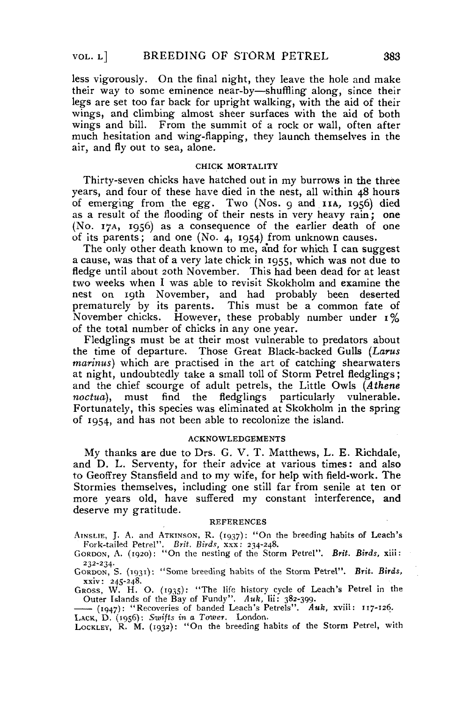less vigorously. On the final night, they leave the hole and make their way to some eminence near-by—shuffling along, since their legs are set too far back for upright walking, with the aid of their wings, and climbing almost sheer surfaces with the aid of both wings and bill. From the summit of a rock or wall, often after much hesitation and wing-flapping, they launch themselves in the air, and fly out to sea, alone.

### CHICK MORTALITY

Thirty-seven chicks have hatched out in my burrows in the three years, and four of these have died in the nest, all within 48 hours of emerging from the *egg.* Two (Nos. 9 and IIA, 1956) died as a result of the flooding of their nests in very heavy rain; one (No. 17A, 1956) as a consequence of the earlier death of one of its parents; and one (No. 4, 1954) from unknown causes.

The only other death known to me, and for which I can suggest a cause, was that of a very late chick in 1955, which was not due to fledge until about 20th November. This had been dead for at least two weeks when I was able to revisit Skokholm and examine the nest on 19th November, and had probably been deserted prematurely by its parents. This must be a common fate of November chicks. However, these probably number under *1%*  of the total number of chicks in any one year.

Fledglings must be at their most vulnerable to predators about the time of departure. Those Great Black-backed Gulls *(Larus marinus)* which are practised in the art of catching shearwaters at night, undoubtedly take a small toll of Storm Petrel fledglings ; and the chief scourge of adult petrels, the Little Owls *(Athene noctua),* must find the fledglings particularly vulnerable. Fortunately, this species was eliminated at Skokholm in the spring of 1954, and has not been able to recolonize the island.

#### ACKNOWLEDGEMENTS

My thanks are due to Drs. G. V. T. Matthews, L. E. Richdale, and D. L. Serventy, for their advice at various times: and also to Geoffrey Stansfield and to my wife, for help with field-work. The Stormies themselves, including one still far from senile at ten or more years old, have suffered my constant interference, and deserve my gratitude.

#### REFERENCES

AINSLIE, J. A. and ATKINSON, R. (1937): "On the breeding habits of Leach's Fork-tailed Petrel". *Brit, Birds,* xxx: 234-248.

GORDON, A. (1920): "On the nesting of the Storm Petrel". *Brit. Birds,* xiii: 232-234.

GORDON, S. (1931): "Some breeding habits of the Storm Petrel". *Brit. Birds,* 

*xxiv*: 245-248. GROSS, W, H. O. (1935): "The life history cycle of Leach's Petrel in the Outer Islands of the Bay of Fundy". *Auk,* lii: 382-309.

(1947): "Recoveries of banded Leach's Petrels". *Auk,* xviii: 117-126.

LACK, D. (1956): *Swifts in a Tower.* London. LOCKLEY,  $\kappa$ . M. (1932): On the breeding habits of the Storm Petrel, with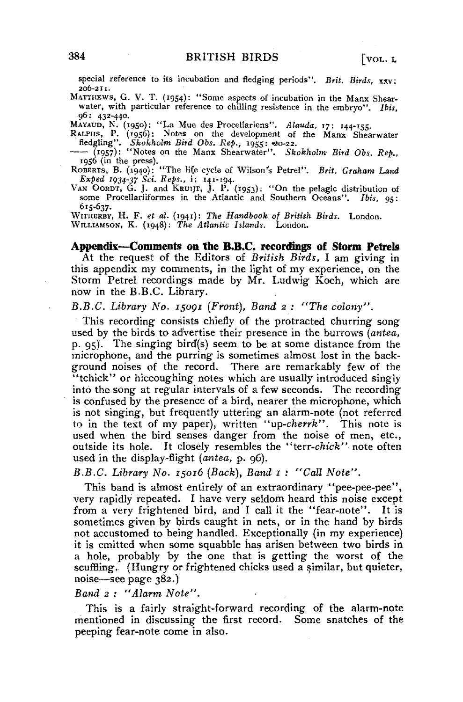special reference to its incubation and fledging periods". *Brit. Birds, xsv:*  206-211.

MATTHEWS, G. V. T. (1954): "Some aspects of incubation in the Manx Shearwater, with particular reference to chilling resistence in the embryo". *Ibis,*  96: 432-440.

Mayaup, N. (1950): "La Mue des Procellariens". Alauda, 17: 144-155.<br>Rat.PH, P. (1956): Notes on the development of the Manx Shearwater<br>fledgling". Skokholm Bird Obs. Rep., 1955: 40-22.<br>—— (1957): "Notes on the Manx Shearwa

1956 (in the press). ROBERTS, B. (1940): "The life'cycle of Wilson's Petrel". *Brit. Graham Land* 

*Sxped* 1034-37 *Sci. Reps.,* i: 141-194. VAN OORDT, G. J. and KRUIJT, J. P. (1953): "On the pelagic distribution of

some Procellariiformes in the Atlantic and Southern Oceans". *Ibis,* 95: 615-637-

WITHERBY, H. F. *et al,* (1941): *The Handbook of British Birds.* London. WILLIAMSON, K. (1948): *The Atlantic Islands.* London,

### Appendix—Comments on the B.B.C. recordings of Storm Petrels

At the request of the Editors of *British Birds,* I am giving in this appendix my comments, in the light of my experience, on the Storm Petrel recordings made by Mr. Ludwig Koch, which are now in the B.B.C. Library.

*B.B.C. Library No. 15091 (Front), Band 2 ; "The colony".* 

This recording consists chiefly of the protracted churring song used by the birds to advertise their presence in the burrows *(antea,*  p. 95). The singing bird'(s) seem to be at some distance from the microphone, and the purring is sometimes almost lost in the background noises of the record. There are remarkably few of the "tchick" or hiccoughing notes which are usually introduced singly into the song at regular intervals of a few seconds. The recording is confused by the presence of a bird, nearer the microphone, which is not singing, but frequently uttering an alarm-note (not referred to in the text of my paper), written "up-cherrk". This note is used when the bird senses danger from the noise of men, etc., outside its hole. It closely resembles the *"terr-chick"* note often used in the display-flight *(antea,* p. 96).

# *B.B.C. Library No.* 15016 *(Back), Band 1 : "Call Note".*

This band is almost entirely of an extraordinary "pee-pee-pee", very rapidly repeated. I have very seldom heard this noise except from a very frightened bird, and I call it the "fear-note". It is sometimes given by birds caught in nets, or in the hand by birds not accustomed to being handled. Exceptionally (in my experience) it is emitted when some squabble has arisen between two birds in a hole, probably by the one that is getting the worst of the scuffling, (Hungry or frightened chicks used a similar, but quieter, noise—see page 382.)

*Band 2 : "Alarm Note".* 

This is a fairly straight-forward recording of the alarm-note mentioned in discussing the first record. Some snatches of the peeping fear-note come in also.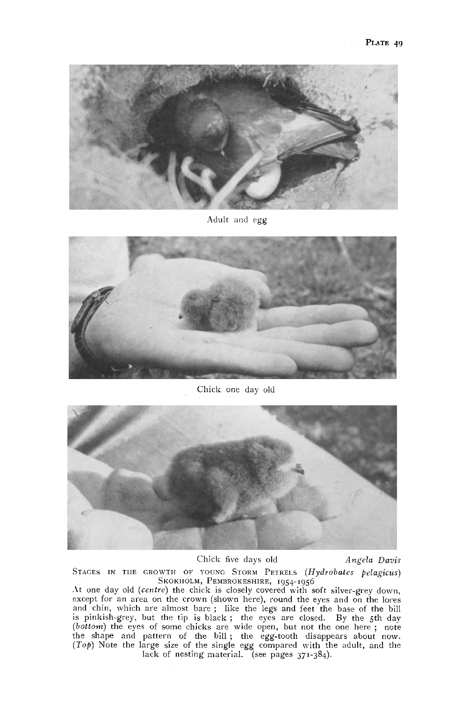

Adult and egg



Chick one day old



Chick five days old *Angela Davis* 

STAGES IN THE GROWTH OF YOUNG STORM PETRELS *(Hydrobates pelagicus)*  SKOKIIOLM, PEMBROKESHIRE, 1954-1956

At one day old *(centre)* the chick is closely covered with soft silver-grey down, except for an area on the crown (shown here), round the eyes and on the lores and chin, which are almost bare; like the legs and feet the base of the bill<br>is pinkish-grey, but the tip is black; the eyes are closed. By the 5th day<br>(*bottom*) the eyes of some chicks are wide open, but not the one her lack of nesting material. (see pages 371-384).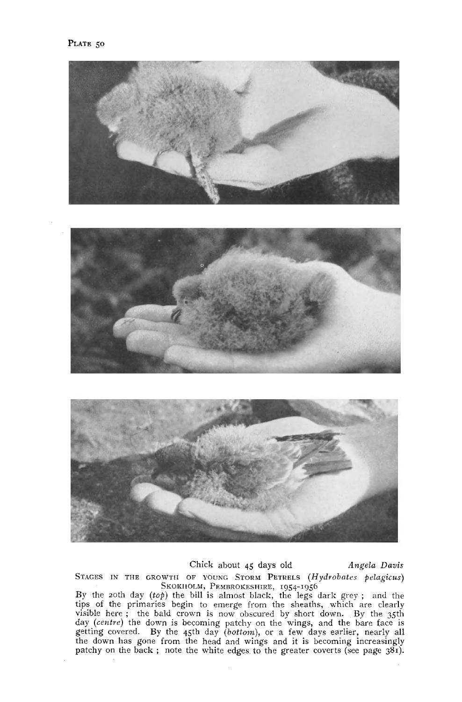

### Chick about 45 days old *Angela Davis*

STAGES IN THE GROWTH OF YOUNG STORM PETRELS *(Hydrobates felagicus)* 

SKOKIIOLM, PEMBROKESHIRE, 1954-1956<br>By the 20th day (top) the bill is almost black, the legs dark grey; and the<br>tips of the primaries begin to emerge from the sheaths, which are clearly<br>visible here; the bald crown is now patchy on the back ; note the white edges to the greater coverts (see page  $381$ ).